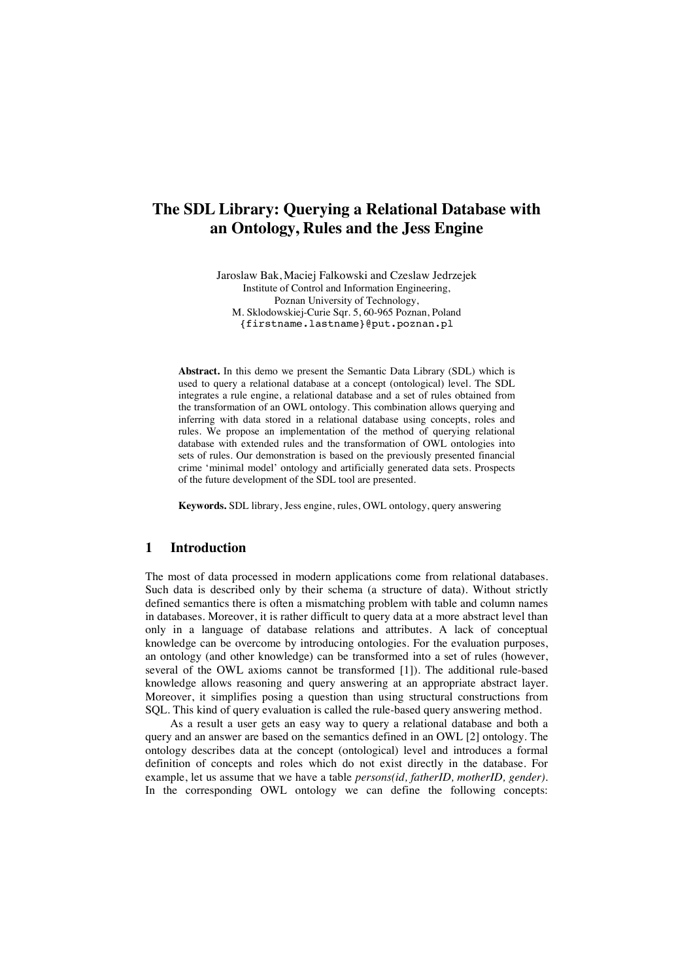# **The SDL Library: Querying a Relational Database with an Ontology, Rules and the Jess Engine**

Jaroslaw Bak, Maciej Falkowski and Czeslaw Jedrzejek Institute of Control and Information Engineering, Poznan University of Technology, M. Sklodowskiej-Curie Sqr. 5, 60-965 Poznan, Poland {firstname.lastname}@put.poznan.pl

**Abstract.** In this demo we present the Semantic Data Library (SDL) which is used to query a relational database at a concept (ontological) level. The SDL integrates a rule engine, a relational database and a set of rules obtained from the transformation of an OWL ontology. This combination allows querying and inferring with data stored in a relational database using concepts, roles and rules. We propose an implementation of the method of querying relational database with extended rules and the transformation of OWL ontologies into sets of rules. Our demonstration is based on the previously presented financial crime 'minimal model' ontology and artificially generated data sets. Prospects of the future development of the SDL tool are presented.

**Keywords.** SDL library, Jess engine, rules, OWL ontology, query answering

### **1 Introduction**

The most of data processed in modern applications come from relational databases. Such data is described only by their schema (a structure of data). Without strictly defined semantics there is often a mismatching problem with table and column names in databases. Moreover, it is rather difficult to query data at a more abstract level than only in a language of database relations and attributes. A lack of conceptual knowledge can be overcome by introducing ontologies. For the evaluation purposes, an ontology (and other knowledge) can be transformed into a set of rules (however, several of the OWL axioms cannot be transformed [1]). The additional rule-based knowledge allows reasoning and query answering at an appropriate abstract layer. Moreover, it simplifies posing a question than using structural constructions from SQL. This kind of query evaluation is called the rule-based query answering method.

As a result a user gets an easy way to query a relational database and both a query and an answer are based on the semantics defined in an OWL [2] ontology. The ontology describes data at the concept (ontological) level and introduces a formal definition of concepts and roles which do not exist directly in the database. For example, let us assume that we have a table *persons(id, fatherID, motherID, gender).*  In the corresponding OWL ontology we can define the following concepts: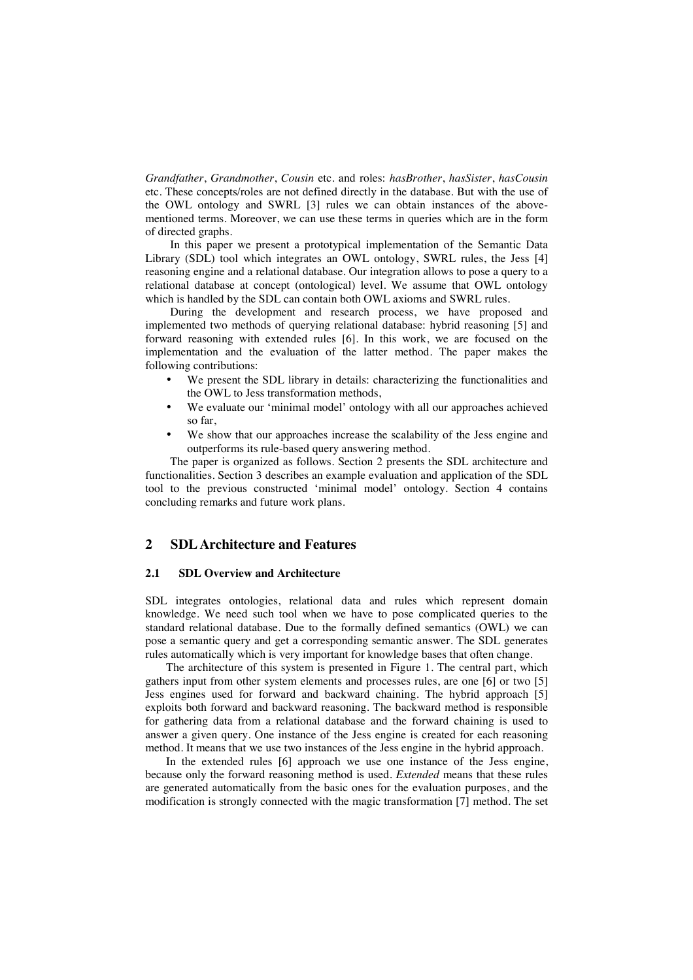*Grandfather*, *Grandmother*, *Cousin* etc. and roles: *hasBrother*, *hasSister*, *hasCousin* etc. These concepts/roles are not defined directly in the database. But with the use of the OWL ontology and SWRL [3] rules we can obtain instances of the abovementioned terms. Moreover, we can use these terms in queries which are in the form of directed graphs.

In this paper we present a prototypical implementation of the Semantic Data Library (SDL) tool which integrates an OWL ontology, SWRL rules, the Jess [4] reasoning engine and a relational database. Our integration allows to pose a query to a relational database at concept (ontological) level. We assume that OWL ontology which is handled by the SDL can contain both OWL axioms and SWRL rules.

During the development and research process, we have proposed and implemented two methods of querying relational database: hybrid reasoning [5] and forward reasoning with extended rules [6]. In this work, we are focused on the implementation and the evaluation of the latter method. The paper makes the following contributions:

- We present the SDL library in details: characterizing the functionalities and the OWL to Jess transformation methods,
- We evaluate our 'minimal model' ontology with all our approaches achieved so far,
- We show that our approaches increase the scalability of the Jess engine and outperforms its rule-based query answering method.

The paper is organized as follows. Section 2 presents the SDL architecture and functionalities. Section 3 describes an example evaluation and application of the SDL tool to the previous constructed 'minimal model' ontology. Section 4 contains concluding remarks and future work plans.

## **2 SDL Architecture and Features**

#### **2.1 SDL Overview and Architecture**

SDL integrates ontologies, relational data and rules which represent domain knowledge. We need such tool when we have to pose complicated queries to the standard relational database. Due to the formally defined semantics (OWL) we can pose a semantic query and get a corresponding semantic answer. The SDL generates rules automatically which is very important for knowledge bases that often change.

The architecture of this system is presented in Figure 1. The central part, which gathers input from other system elements and processes rules, are one [6] or two [5] Jess engines used for forward and backward chaining. The hybrid approach [5] exploits both forward and backward reasoning. The backward method is responsible for gathering data from a relational database and the forward chaining is used to answer a given query. One instance of the Jess engine is created for each reasoning method. It means that we use two instances of the Jess engine in the hybrid approach.

In the extended rules [6] approach we use one instance of the Jess engine, because only the forward reasoning method is used. *Extended* means that these rules are generated automatically from the basic ones for the evaluation purposes, and the modification is strongly connected with the magic transformation [7] method. The set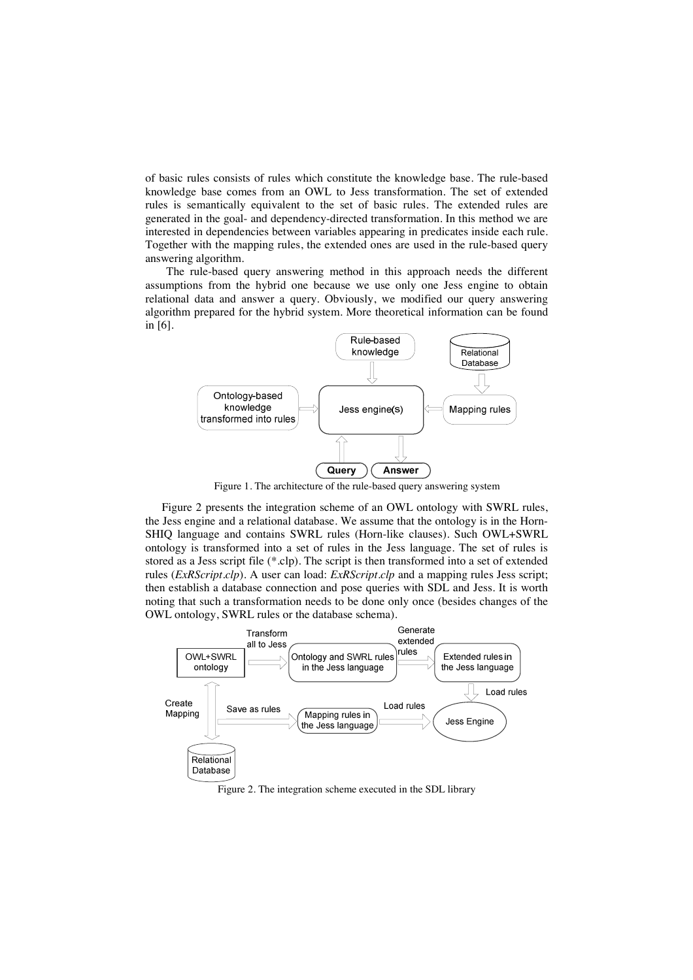of basic rules consists of rules which constitute the knowledge base. The rule-based knowledge base comes from an OWL to Jess transformation. The set of extended rules is semantically equivalent to the set of basic rules. The extended rules are generated in the goal- and dependency-directed transformation. In this method we are interested in dependencies between variables appearing in predicates inside each rule. Together with the mapping rules, the extended ones are used in the rule-based query answering algorithm.

The rule-based query answering method in this approach needs the different assumptions from the hybrid one because we use only one Jess engine to obtain relational data and answer a query. Obviously, we modified our query answering algorithm prepared for the hybrid system. More theoretical information can be found in [6].



Figure 1. The architecture of the rule-based query answering system

Figure 2 presents the integration scheme of an OWL ontology with SWRL rules, the Jess engine and a relational database. We assume that the ontology is in the Horn-SHIQ language and contains SWRL rules (Horn-like clauses). Such OWL+SWRL ontology is transformed into a set of rules in the Jess language. The set of rules is stored as a Jess script file (\*.clp). The script is then transformed into a set of extended rules (*ExRScript.clp*). A user can load: *ExRScript.clp* and a mapping rules Jess script; then establish a database connection and pose queries with SDL and Jess. It is worth noting that such a transformation needs to be done only once (besides changes of the OWL ontology, SWRL rules or the database schema).



Figure 2. The integration scheme executed in the SDL library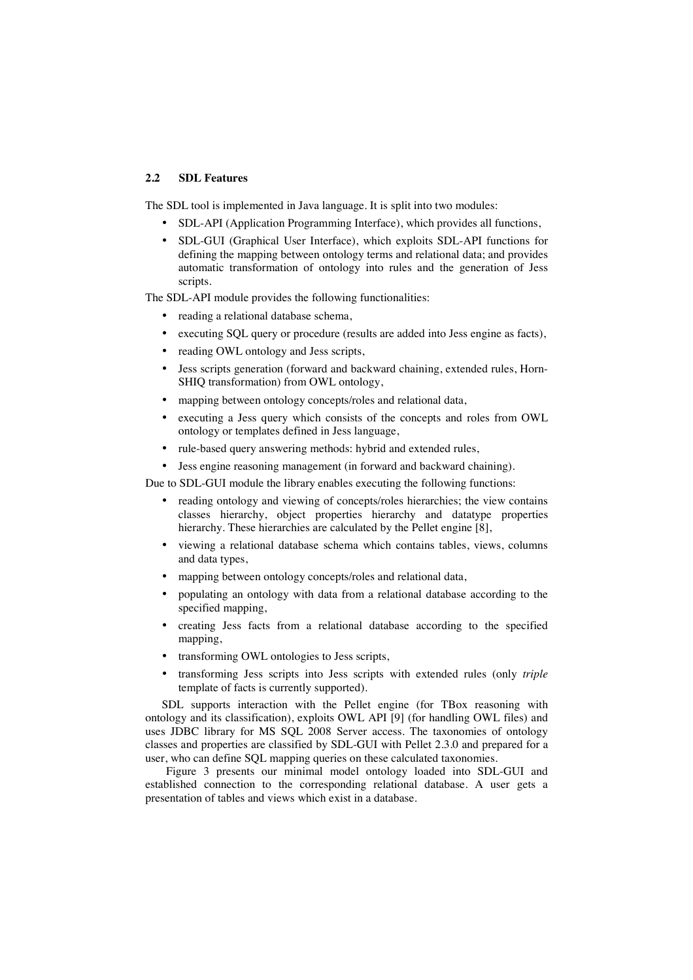### **2.2 SDL Features**

The SDL tool is implemented in Java language. It is split into two modules:

- SDL-API (Application Programming Interface), which provides all functions,
- SDL-GUI (Graphical User Interface), which exploits SDL-API functions for defining the mapping between ontology terms and relational data; and provides automatic transformation of ontology into rules and the generation of Jess scripts.

The SDL-API module provides the following functionalities:

- reading a relational database schema,
- executing SQL query or procedure (results are added into Jess engine as facts),
- reading OWL ontology and Jess scripts,
- Jess scripts generation (forward and backward chaining, extended rules, Horn-SHIQ transformation) from OWL ontology,
- mapping between ontology concepts/roles and relational data,
- executing a Jess query which consists of the concepts and roles from OWL ontology or templates defined in Jess language,
- rule-based query answering methods: hybrid and extended rules,

• Jess engine reasoning management (in forward and backward chaining).

Due to SDL-GUI module the library enables executing the following functions:

- reading ontology and viewing of concepts/roles hierarchies; the view contains classes hierarchy, object properties hierarchy and datatype properties hierarchy. These hierarchies are calculated by the Pellet engine [8],
- viewing a relational database schema which contains tables, views, columns and data types,
- mapping between ontology concepts/roles and relational data,
- populating an ontology with data from a relational database according to the specified mapping,
- creating Jess facts from a relational database according to the specified mapping,
- transforming OWL ontologies to Jess scripts,
- transforming Jess scripts into Jess scripts with extended rules (only *triple*  template of facts is currently supported).

SDL supports interaction with the Pellet engine (for TBox reasoning with ontology and its classification), exploits OWL API [9] (for handling OWL files) and uses JDBC library for MS SQL 2008 Server access. The taxonomies of ontology classes and properties are classified by SDL-GUI with Pellet 2.3.0 and prepared for a user, who can define SQL mapping queries on these calculated taxonomies.

Figure 3 presents our minimal model ontology loaded into SDL-GUI and established connection to the corresponding relational database. A user gets a presentation of tables and views which exist in a database.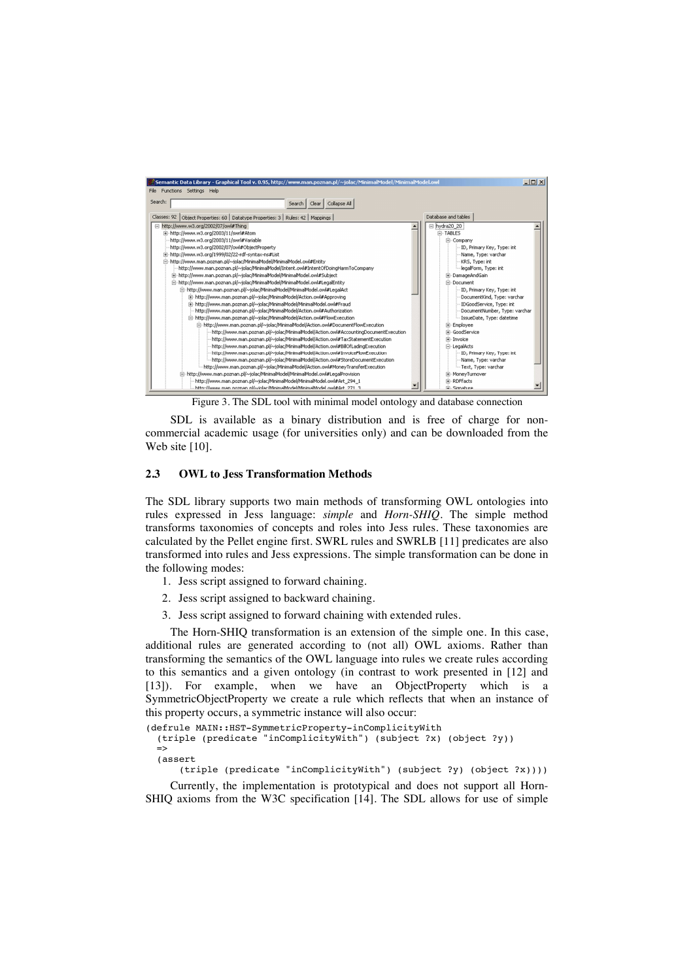

Figure 3. The SDL tool with minimal model ontology and database connection

SDL is available as a binary distribution and is free of charge for noncommercial academic usage (for universities only) and can be downloaded from the Web site [10].

#### **2.3 OWL to Jess Transformation Methods**

The SDL library supports two main methods of transforming OWL ontologies into rules expressed in Jess language: *simple* and *Horn-SHIQ*. The simple method transforms taxonomies of concepts and roles into Jess rules. These taxonomies are calculated by the Pellet engine first. SWRL rules and SWRLB [11] predicates are also transformed into rules and Jess expressions. The simple transformation can be done in the following modes:

- 1. Jess script assigned to forward chaining.
- 2. Jess script assigned to backward chaining.
- 3. Jess script assigned to forward chaining with extended rules.

The Horn-SHIQ transformation is an extension of the simple one. In this case, additional rules are generated according to (not all) OWL axioms. Rather than transforming the semantics of the OWL language into rules we create rules according to this semantics and a given ontology (in contrast to work presented in [12] and [13]). For example, when we have an ObjectProperty which is a SymmetricObjectProperty we create a rule which reflects that when an instance of this property occurs, a symmetric instance will also occur:

```
(defrule MAIN::HST-SymmetricProperty-inComplicityWith 
 (triple (predicate "inComplicityWith") (subject ?x) (object ?y)) 
\Rightarrow
```
(assert

(triple (predicate "inComplicityWith") (subject ?y) (object ?x))))

Currently, the implementation is prototypical and does not support all Horn-SHIQ axioms from the W3C specification [14]. The SDL allows for use of simple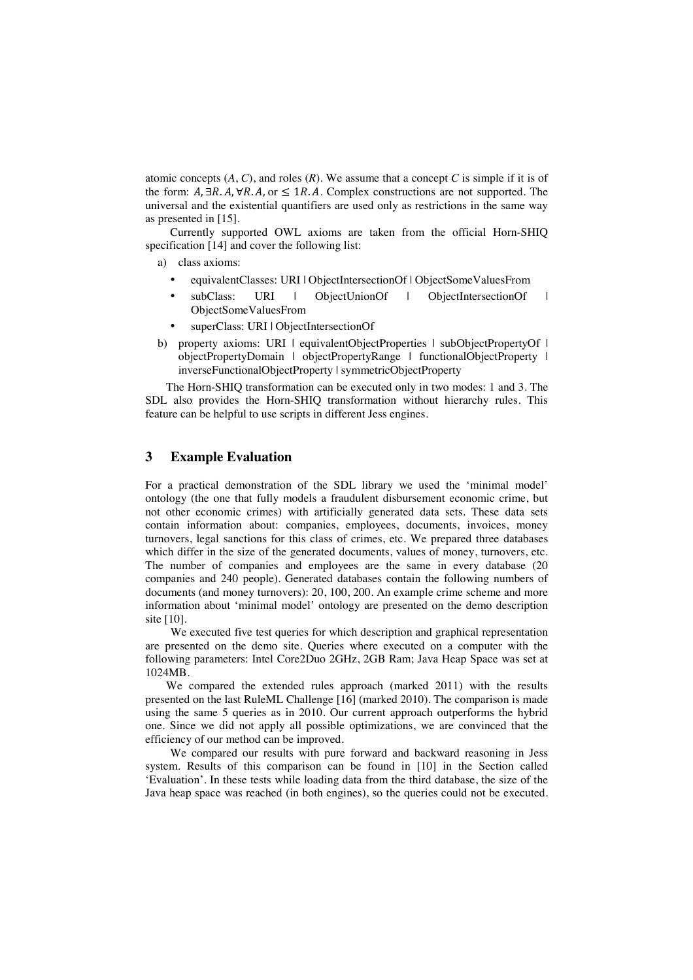atomic concepts  $(A, C)$ , and roles  $(R)$ . We assume that a concept  $C$  is simple if it is of the form:  $A, \exists R.A, \forall R.A$ , or  $\leq 1R.A$ . Complex constructions are not supported. The universal and the existential quantifiers are used only as restrictions in the same way as presented in [15].

Currently supported OWL axioms are taken from the official Horn-SHIQ specification [14] and cover the following list:

a) class axioms:

- equivalentClasses: URI | ObjectIntersectionOf | ObjectSomeValuesFrom
- subClass: URI | ObjectUnionOf | ObjectIntersectionOf | ObjectSomeValuesFrom
- superClass: URI | ObjectIntersectionOf
- b) property axioms: URI | equivalentObjectProperties | subObjectPropertyOf | objectPropertyDomain | objectPropertyRange | functionalObjectProperty | inverseFunctionalObjectProperty | symmetricObjectProperty

The Horn-SHIQ transformation can be executed only in two modes: 1 and 3. The SDL also provides the Horn-SHIQ transformation without hierarchy rules. This feature can be helpful to use scripts in different Jess engines.

## **3 Example Evaluation**

For a practical demonstration of the SDL library we used the 'minimal model' ontology (the one that fully models a fraudulent disbursement economic crime, but not other economic crimes) with artificially generated data sets. These data sets contain information about: companies, employees, documents, invoices, money turnovers, legal sanctions for this class of crimes, etc. We prepared three databases which differ in the size of the generated documents, values of money, turnovers, etc. The number of companies and employees are the same in every database (20 companies and 240 people). Generated databases contain the following numbers of documents (and money turnovers): 20, 100, 200. An example crime scheme and more information about 'minimal model' ontology are presented on the demo description site [10].

We executed five test queries for which description and graphical representation are presented on the demo site. Queries where executed on a computer with the following parameters: Intel Core2Duo 2GHz, 2GB Ram; Java Heap Space was set at 1024MB.

We compared the extended rules approach (marked 2011) with the results presented on the last RuleML Challenge [16] (marked 2010). The comparison is made using the same 5 queries as in 2010. Our current approach outperforms the hybrid one. Since we did not apply all possible optimizations, we are convinced that the efficiency of our method can be improved.

We compared our results with pure forward and backward reasoning in Jess system. Results of this comparison can be found in [10] in the Section called 'Evaluation'. In these tests while loading data from the third database, the size of the Java heap space was reached (in both engines), so the queries could not be executed.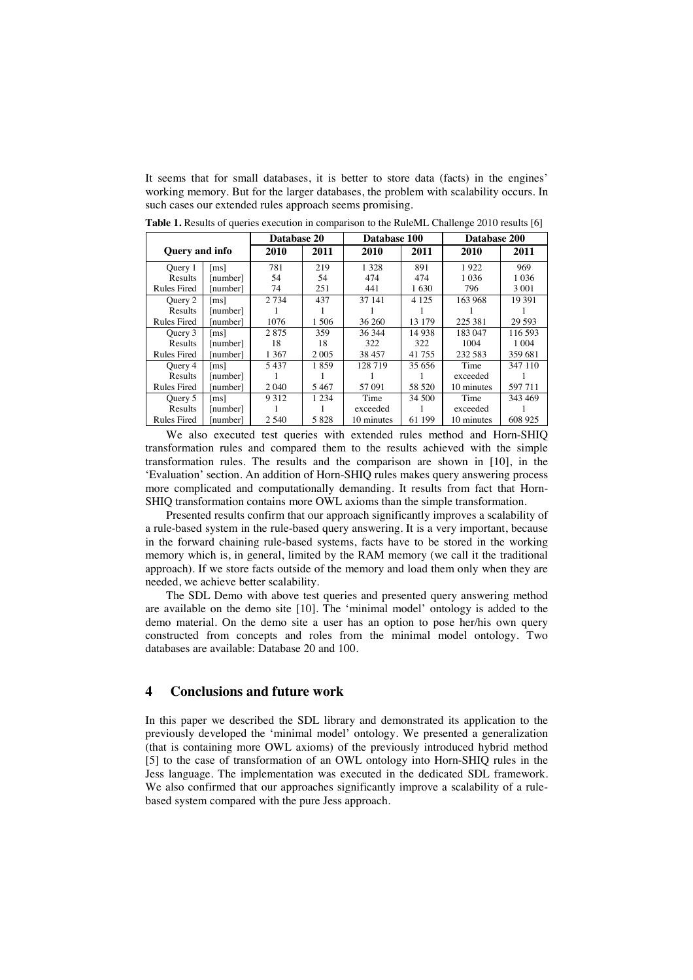It seems that for small databases, it is better to store data (facts) in the engines' working memory. But for the larger databases, the problem with scalability occurs. In such cases our extended rules approach seems promising.

|                       |                      | Database 20 |         | Database 100 |         | Database 200 |         |
|-----------------------|----------------------|-------------|---------|--------------|---------|--------------|---------|
| <b>Query</b> and info |                      | 2010        | 2011    | 2010         | 2011    | 2010         | 2011    |
| Ouery 1               | $\lceil ms \rceil$   | 781         | 219     | 1 3 2 8      | 891     | 1922         | 969     |
| Results               | [number]             | 54          | 54      | 474          | 474     | 1 0 3 6      | 1 0 3 6 |
| <b>Rules Fired</b>    | [number]             | 74          | 251     | 441          | 1630    | 796          | 3 0 0 1 |
| Query 2               | $\lfloor ms \rfloor$ | 2 7 3 4     | 437     | 37 141       | 4 1 2 5 | 163 968      | 19 391  |
| Results               | number]              |             |         |              |         |              |         |
| <b>Rules Fired</b>    | number               | 1076        | 1.506   | 36 260       | 13 179  | 225 381      | 29 593  |
| Query 3               | $\lceil ms \rceil$   | 2875        | 359     | 36 344       | 14 938  | 183047       | 116.593 |
| Results               | [number]             | 18          | 18      | 322          | 322     | 1004         | 1 0 0 4 |
| <b>Rules Fired</b>    | numberl              | 1 3 6 7     | 2 0 0 5 | 38 457       | 41755   | 232 583      | 359 681 |
| Ouery 4               | $\lfloor ms \rfloor$ | 5437        | 1859    | 128 719      | 35 656  | Time         | 347 110 |
| Results               | [number]             |             |         |              |         | exceeded     |         |
| <b>Rules Fired</b>    | numberl              | 2 0 4 0     | 5467    | 57 091       | 58 520  | 10 minutes   | 597 711 |
| Query 5               | $\lfloor ms \rfloor$ | 9 3 1 2     | 1 2 3 4 | Time         | 34 500  | Time         | 343 469 |
| Results               | numberl              |             |         | exceeded     |         | exceeded     |         |
| <b>Rules Fired</b>    | number               | 2 5 4 0     | 5828    | 10 minutes   | 61 199  | 10 minutes   | 608 925 |

**Table 1.** Results of queries execution in comparison to the RuleML Challenge 2010 results [6]

We also executed test queries with extended rules method and Horn-SHIQ transformation rules and compared them to the results achieved with the simple transformation rules. The results and the comparison are shown in [10], in the 'Evaluation' section. An addition of Horn-SHIQ rules makes query answering process more complicated and computationally demanding. It results from fact that Horn-SHIQ transformation contains more OWL axioms than the simple transformation.

Presented results confirm that our approach significantly improves a scalability of a rule-based system in the rule-based query answering. It is a very important, because in the forward chaining rule-based systems, facts have to be stored in the working memory which is, in general, limited by the RAM memory (we call it the traditional approach). If we store facts outside of the memory and load them only when they are needed, we achieve better scalability.

The SDL Demo with above test queries and presented query answering method are available on the demo site [10]. The 'minimal model' ontology is added to the demo material. On the demo site a user has an option to pose her/his own query constructed from concepts and roles from the minimal model ontology. Two databases are available: Database 20 and 100.

#### **4 Conclusions and future work**

In this paper we described the SDL library and demonstrated its application to the previously developed the 'minimal model' ontology. We presented a generalization (that is containing more OWL axioms) of the previously introduced hybrid method [5] to the case of transformation of an OWL ontology into Horn-SHIQ rules in the Jess language. The implementation was executed in the dedicated SDL framework. We also confirmed that our approaches significantly improve a scalability of a rulebased system compared with the pure Jess approach.